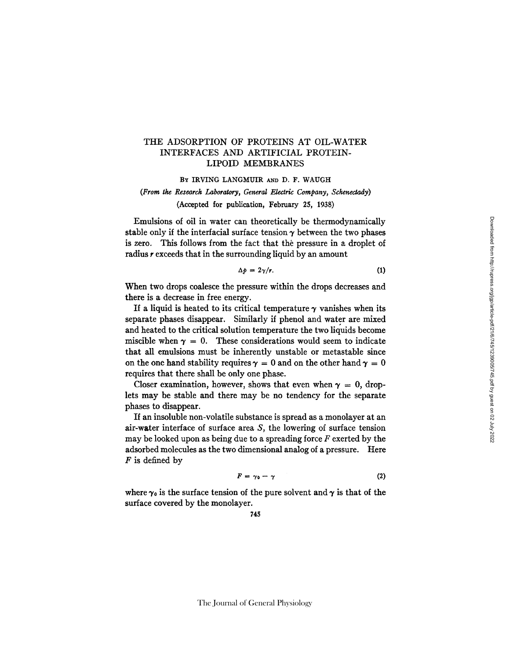## THE ADSORPTION OF PROTEINS AT OIL-WATER INTERFACES AND ARTIFICIAL PROTEIN-LIPOID MEMBRANES

BY IRVING LANGMUIR AND D. F. WAUGH

# *(From the Research Laboratory, General Electric Company, Schenectady)* (Accepted for publication, February 25, 1938)

Emulsions of oil in water can theoretically be thermodynamically stable only if the interfacial surface tension  $\gamma$  between the two phases is zero. This follows from the fact that the pressure in a droplet of radius  $r$  exceeds that in the surrounding liquid by an amount

$$
\Delta p = 2\gamma/r. \tag{1}
$$

When two drops coalesce the pressure within the drops decreases and there is a decrease in free energy.

If a liquid is heated to its critical temperature  $\gamma$  vanishes when its separate phases disappear. Similarly if phenol and water are mixed and heated to the critical solution temperature the two liquids become miscible when  $\gamma = 0$ . These considerations would seem to indicate that all emulsions must be inherently unstable or metastable since on the one hand stability requires  $\gamma = 0$  and on the other hand  $\gamma = 0$ requires that there shall be only one phase.

Closer examination, however, shows that even when  $\gamma = 0$ , droplets may be stable and there may be no tendency for the separate phases to disappear.

If an insoluble non-volatile substance is spread as a monolayer at an air-water interface of surface area S, the lowering of surface tension may be looked upon as being due to a spreading force  $F$  exerted by the adsorbed molecules as the two dimensional analog of a pressure. Here  $F$  is defined by

$$
F = \gamma_0 - \gamma \tag{2}
$$

where  $\gamma_0$  is the surface tension of the pure solvent and  $\gamma$  is that of the surface covered by the monolayer.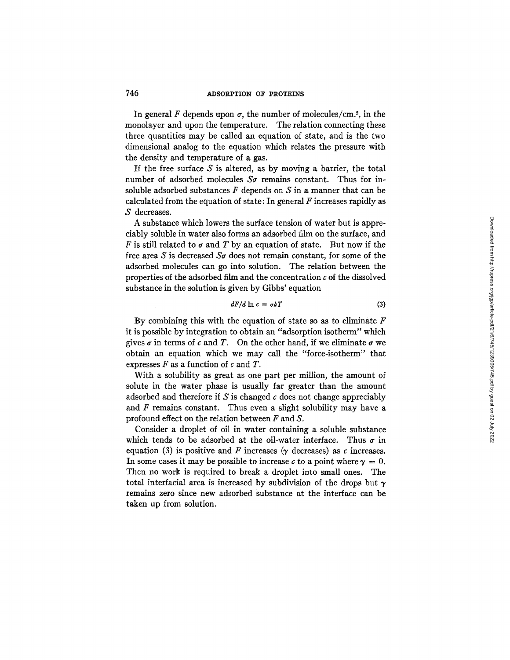In general F depends upon  $\sigma$ , the number of molecules/cm.<sup>2</sup>, in the monolayer and upon the temperature. The relation connecting these three quantities may be called an equation of state, and is the two dimensional analog to the equation which relates the pressure with the density and temperature of a gas.

If the free surface  $S$  is altered, as by moving a barrier, the total number of adsorbed molecules  $S\sigma$  remains constant. Thus for insoluble adsorbed substances  $F$  depends on  $S$  in a manner that can be calculated from the equation of state: In general  $F$  increases rapidly as S decreases.

A substance which lowers the surface tension of water but is appreciably soluble in water also forms an adsorbed film on the surface, and F is still related to  $\sigma$  and T by an equation of state. But now if the free area S is decreased  $S\sigma$  does not remain constant, for some of the adsorbed molecules can go into solution. The relation between the properties of the adsorbed film and the concentration  $\epsilon$  of the dissolved substance in the solution is given by Gibbs' equation

$$
dF/d\ln c = \sigma kT \tag{3}
$$

By combining this with the equation of state so as to eliminate  $F$ it is possible by integration to obtain an "adsorption isotherm" which gives  $\sigma$  in terms of c and T. On the other hand, if we eliminate  $\sigma$  we obtain an equation which we may call the "force-isotherm" that expresses  $F$  as a function of  $c$  and  $T$ .

With a solubility as great as one part per million, the amount of solute in the water phase is usually far greater than the amount adsorbed and therefore if S is changed  $c$  does not change appreciably and  $F$  remains constant. Thus even a slight solubility may have a profound effect on the relation between  $F$  and  $S$ .

Consider a droplet of oil in water containing a soluble substance which tends to be adsorbed at the oil-water interface. Thus  $\sigma$  in equation (3) is positive and F increases ( $\gamma$  decreases) as c increases. In some cases it may be possible to increase c to a point where  $\gamma = 0$ . Then no work is required to break a droplet into small ones. The total interfacial area is increased by subdivision of the drops but  $\gamma$ remains zero since new adsorbed substance at the interface can be taken up from solution.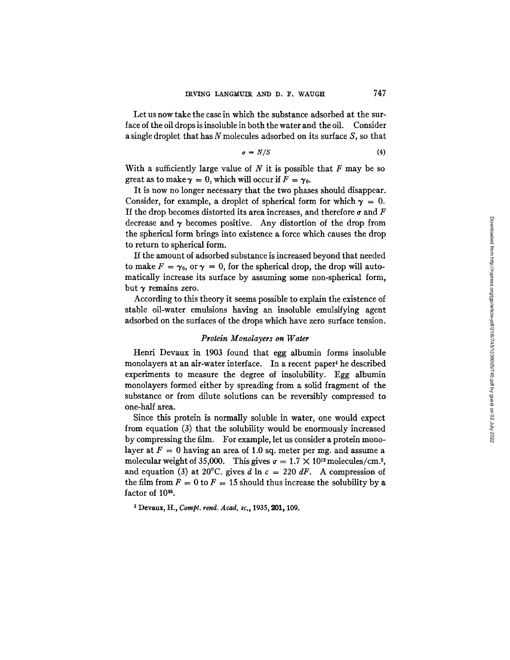Let us now take the case in which the substance adsorbed at the surface of the oil drops is insoluble in both the water and the oil. Consider a single droplet that has N molecules adsorbed on its surface S, so that

$$
\sigma = N/S \tag{4}
$$

With a sufficiently large value of N it is possible that F may be so great as to make  $\gamma = 0$ , which will occur if  $F = \gamma_0$ .

It is now no longer necessary that the two phases should disappear. Consider, for example, a droplet of spherical form for which  $\gamma = 0$ . If the drop becomes distorted its area increases, and therefore  $\sigma$  and F decrease and  $\gamma$  becomes positive. Any distortion of the drop from the spherical form brings into existence a force which causes the drop to return to spherical form.

If the amount of adsorbed substance is increased beyond that needed to make  $F = \gamma_0$ , or  $\gamma = 0$ , for the spherical drop, the drop will automatically increase its surface by assuming some non-spherical form, but  $\gamma$  remains zero.

According to this theory it seems possible to explain the existence of stable oil-water emulsions having an insoluble emulsifying agent adsorbed on the surfaces of the drops which have zero surface tension.

### *Protein Monolayers on Water*

Henri Devaux in 1903 found that egg albumin forms insoluble monolayers at an air-water interface. In a recent paper<sup>1</sup> he described experiments to measure the degree of insolubility. Egg albumin monolayers formed either by spreading from a solid fragment of the substance or from dilute solutions can be reversibly compressed to one-half area.

Since this protein is normally soluble in water, one would expect from equation (3) that the solubility would be enormously increased by compressing the film. For example, let us consider a protein monolayer at  $F = 0$  having an area of 1.0 sq. meter per mg. and assume a molecular weight of 35,000. This gives  $\sigma = 1.7 \times 10^{12}$  molecules/cm.<sup>2</sup>, and equation (3) at 20°C. gives d ln  $c = 220$  dF. A compression of the film from  $F = 0$  to  $F = 15$  should thus increase the solubility by a factor of  $10<sup>95</sup>$ .

<sup>1</sup> Devaux, H., *Compt. rend. Acad. sc.*, 1935, 201, 109.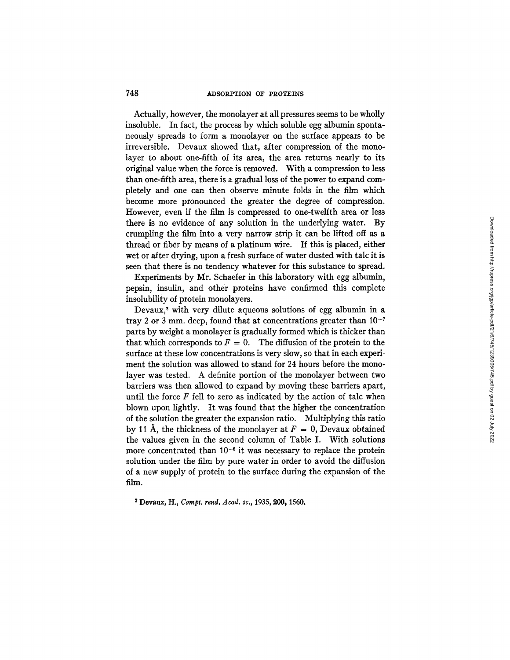## 748 ADSORPTION OF PROTEINS

Actually, however, the monolayer at all pressures seems to be wholly insoluble. In fact, the process by which soluble egg albumin spontaneously spreads to form a monolayer on the surface appears to be irreversible. Devaux showed that, after compression of the monolayer to about one-fifth of its area, the area returns nearly to its original value when the force is removed. With a compression to less than one-fifth area, there is a gradual loss of the power to expand completely and one can then observe minute folds in the film which become more pronounced the greater the degree of compression. However, even if the film is compressed to one-twelfth area or less there is no evidence of any solution in the underlying water. By crumpling the film into a very narrow strip it can be lifted off as a thread or fiber by means of a platinum wire. If this is placed, either wet or after drying, upon a fresh surface of water dusted with talc it is seen that there is no tendency whatever for this substance to spread.

Experiments by Mr. Schaefer in this laboratory with egg albumin, pepsin, insulin, and other proteins have confirmed this complete insolubility of protein monolayers.

Devaux,<sup>2</sup> with very dilute aqueous solutions of egg albumin in a tray 2 or 3 mm. deep, found that at concentrations greater than  $10^{-7}$ parts by weight a monolayer is gradually formed which is thicker than that which corresponds to  $F = 0$ . The diffusion of the protein to the surface at these low concentrations is very slow, so that in each experiment the solution was allowed to stand for 24 hours before the monolayer was tested. A definite portion of the monolayer between two barriers was then allowed to expand by moving these barriers apart, until the force  $F$  fell to zero as indicated by the action of talc when blown upon lightly. It was found that the higher the concentration of the solution the greater the expansion ratio. Multiplying this ratio by 11 Å, the thickness of the monolayer at  $F = 0$ , Devaux obtained the values given in the second column of Table I. With solutions more concentrated than  $10^{-6}$  it was necessary to replace the protein solution under the film by pure water in order to avoid the diffusion of a new supply of protein to the surface during the expansion of the film.

Devaux, H., *Compt. rend. Acad. so.,* 1935, 200, 1560.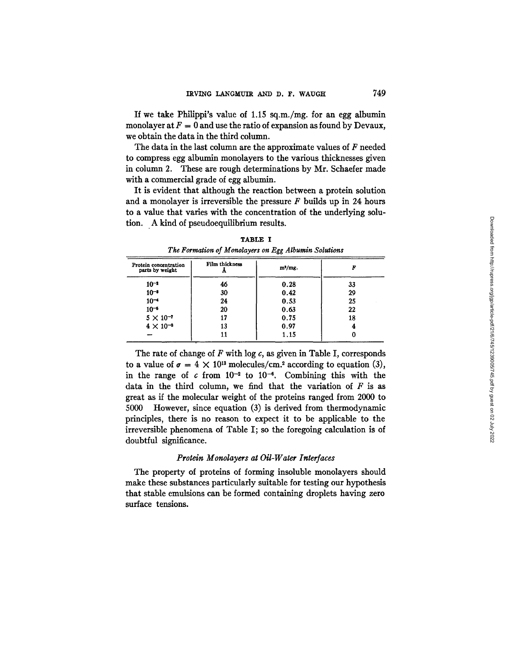**If we take Philippi's value of 1.15 sq.m./mg, for an egg albumin**  monolayer at  $F = 0$  and use the ratio of expansion as found by Devaux, **we obtain the data in the third column.** 

**The data in the last column are the approximate values of F needed to compress egg albumin monolayers to the various thicknesses given in column 2. These are rough determinations by Mr. Schaefer made with a commercial grade of egg albumin.** 

**It is evident that although the reaction between a protein solution and a monolayer is irreversible the pressure F builds up in 24 hours to a value that varies with the concentration of the underlying solution.. A kind** of pseudoequilibrium results.

| Protein concentration<br>parts by weight | Film thickness | $m^2/mg$ . | Ħ  |
|------------------------------------------|----------------|------------|----|
| $10^{-2}$                                | 46             | 0.28       | 33 |
| $10^{-3}$                                | 30             | 0.42       | 29 |
| $10^{-4}$                                | 24             | 0.53       | 25 |
| $10^{-6}$                                | 20             | 0.63       | 22 |
| $5 \times 10^{-7}$                       | 17             | 0.75       | 18 |
| $4 \times 10^{-8}$                       | 13             | 0.97       |    |
|                                          | 11             | 1,15       |    |

TABLE I *The Formation of Monolayers on Egg Albumin Solutions* 

The rate of change of F with log *c,* as given in Table I, corresponds to a value of  $\sigma = 4 \times 10^{13}$  molecules/cm.<sup>2</sup> according to equation (3), in the range of c from  $10^{-2}$  to  $10^{-6}$ . Combining this with the data in the third column, we find that the variation of  $F$  is as great as if the molecular weight of the proteins ranged from 2000 to 5000 However, since equation (3) is derived from thermodynamic principles, there is no reason to expect it to be applicable to the irreversible phenomena of Table I; so the foregoing calculation is of doubtful significance.

#### *Protein Monolayers at Oil-Water Interfaces*

The property of proteins of forming insoluble monolayers should make these substances particularly suitable for testing our hypothesis that stable emulsions can be formed containing droplets having zero surface tensions.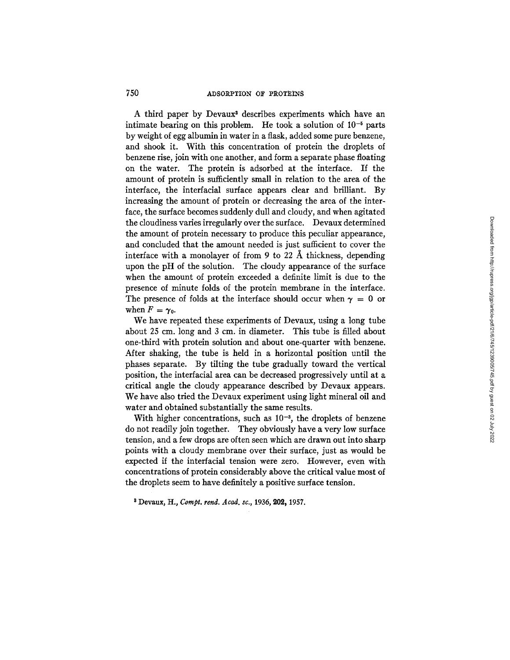## 750 ADSORPTION OF PROTEINS

A third paper by Devaux<sup>3</sup> describes experiments which have an intimate bearing on this problem. He took a solution of  $10^{-5}$  parts by weight of egg albumin in water in a flask, added some pure benzene, and shook it. With this concentration of protein the droplets of benzene rise, join with one another, and form a separate phase floating on the water. The protein is adsorbed at the interface. If the amount of protein is sufficiently small in relation to the area of the interface, the interfacial surface appears clear and brilliant. By increasing the amount of protein or decreasing the area of the interface, the surface becomes suddenly dull and cloudy, and when agitated the cloudiness varies irregularly over the surface. Devaux determined the amount of protein necessary to produce this peculiar appearance, and concluded that the amount needed is just sufficient to cover the interface with a monolayer of from 9 to 22  $\AA$  thickness, depending upon the pH of the solution. The cloudy appearance of the surface when the amount of protein exceeded a definite limit is due to the presence of minute folds of the protein membrane in the interface. The presence of folds at the interface should occur when  $\gamma = 0$  or when  $F = \gamma_0$ .

We have repeated these experiments of Devaux, using a long tube about 25 cm. long and 3 cm. in diameter. This tube is filled about one-third with protein solution and about one-quarter with benzene. After shaking, the tube is held in a horizontal position until the phases separate. By tilting the tube gradually toward the vertical position, the interfacial area can be decreased progressively until at a critical angle the cloudy appearance described by Devaux appears. We have also tried the Devaux experiment using light mineral oil and water and obtained substantially the same results.

With higher concentrations, such as  $10^{-3}$ , the droplets of benzene do not readily join together. They obviously have a very low surface tension, and a few drops are often seen which are drawn out into sharp points with a cloudy membrane over their surface, just as would be expected if the interracial tension were zero. However, even with concentrations of protein considerably above the critical value most of the droplets seem to have definitely a positive surface tension.

<sup>3</sup> Devaux, H., *Compt. rend. Acad. sc.*, 1936, 202, 1957.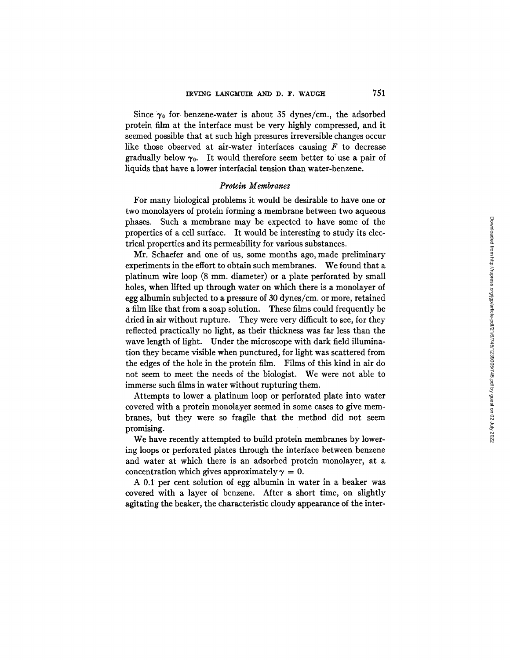Since  $\gamma_0$  for benzene-water is about 35 dynes/cm., the adsorbed protein film at the interface must be very highly compressed, and it seemed possible that at such high pressures irreversible changes occur like those observed at air-water interfaces causing  $F$  to decrease gradually below  $\gamma_0$ . It would therefore seem better to use a pair of liquids that have a lower interfacial tension than water-benzene.

## *Protein Membranes*

For many biological problems it would be desirable to have one or two monolayers of protein forming a membrane between two aqueous phases. Such a membrane may be expected to have some of the properties of a cell surface. It would be interesting to study its electrical properties and its permeability for various substances.

Mr. Schaefer and one of us, some months ago, made preliminary experiments in the effort to obtain such membranes. We found that a platinum wire loop (8 mm. diameter) or a plate perforated by small holes, when lifted up through water on which there is a monolayer of egg albumin subjected to a pressure of 30 dynes/cm, or more, retained a film like that from a soap solution. These films could frequently be dried in air without rupture. They were very difficult to see, for they reflected practically no light, as their thickness was far less than the wave length of light. Under the microscope with dark field illumination they became visible when punctured, for light was scattered from the edges of the hole in the protein film. Films of this kind in air do not seem to meet the needs of the biologist. We were not able to immerse such films in water without rupturing them.

Attempts to lower a platinum loop or perforated plate into water covered with a protein monolayer seemed in some cases to give membranes, but they were so fragile that the method did not seem promising.

We have recently attempted to build protein membranes by lowering loops or perforated plates through the interface between benzene and water at which there is an adsorbed protein monolayer, at a concentration which gives approximately  $\gamma = 0$ .

A 0.1 per cent solution of egg albumin in water in a beaker was covered with a layer of benzene. After a short time, on slightly agitating the beaker, the characteristic cloudy appearance of the inter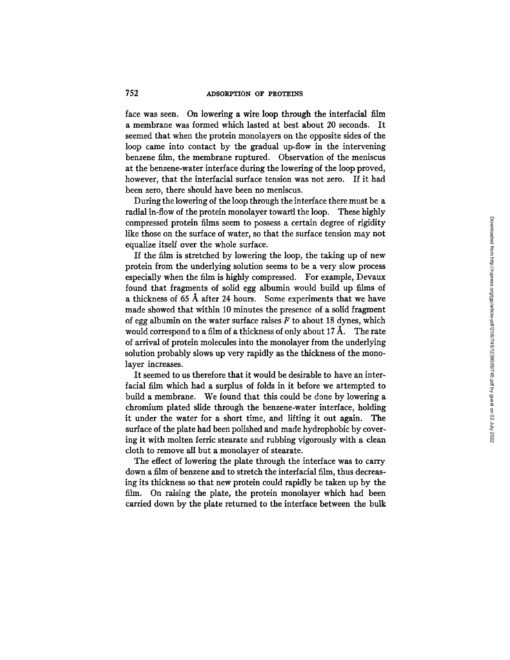face was seen. On lowering a wire loop through the interfacial film a membrane was formed which lasted at best about 20 seconds. It seemed that when the protein monolayers on the opposite sides of the loop came into contact by the gradual up-flow in the intervening benzene film, the membrane ruptured. Observation of the meniscus at the benzene-water interface during the lowering of the loop proved, however, that the interfacial surface tension was not zero. If it had been zero, there should have been no meniscus.

During the lowering of the loop through the interface there must be a radial in-flow of the protein monolayer toward the loop. These highly compressed protein films seem to possess a certain degree of rigidity like those on the surface of water, so that the surface tension may not equalize itself over the whole surface.

If the film is stretched by lowering the loop, the taking up of new protein from the underlying solution seems to be a very slow process especially when the film is highly compressed. For example, Devaux found that fragments of solid egg albumin would build up films of a thickness of  $65~\text{\AA}$  after 24 hours. Some experiments that we have made showed that within 10 minutes the presence of a solid fragment of egg albumin on the water surface raises  $F$  to about 18 dynes, which would correspond to a film of a thickness of only about 17  $\AA$ . The rate of arrival of protein molecules into the monolayer from the underlying solution probably slows up very rapidly as the thickness of the monolayer increases.

It seemed to us therefore that it would be desirable to have an interfacial film which had a surplus of folds in it before we attempted to build a membrane. We found that this could be done by lowering a chromium plated slide through the benzene-water interface, holding it under the water for a short time, and lifting it out again. The surface of the plate had been polished and made hydrophobic by covering it with molten ferric stearate and rubbing vigorously with a clean cloth to remove all but a monolayer of stearate.

The effect of lowering the plate through the interface was to carry down a film of benzene and to stretch the interracial film, thus decreasing its thickness so that new protein could rapidly be taken up by the film. On raising the plate, the protein monolayer which had been carried down by the plate returned to the interface between the bulk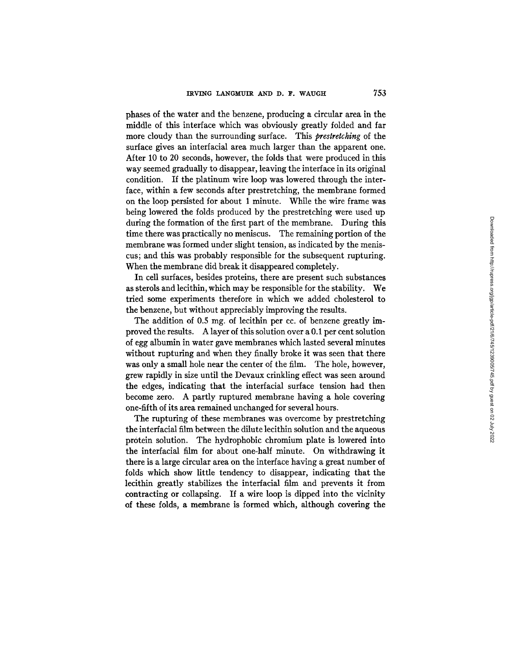phases of the water and the benzene, producing a circular area in the middle of this interface which was obviously greatly folded and far more cloudy than the surrounding surface, This *prestretching* of the surface gives an interfacial area much larger than the apparent one. After 10 to 20 seconds, however, the folds that were produced in this way seemed gradually to disappear, leaving the interface in its original condition. If the platinum wire loop was lowered through the interface, within a few seconds after prestretching, the membrane formed on the loop persisted for about 1 minute. While the wire frame was being lowered the folds produced by the prestretching were used up during the formation of the first part of the membrane. During this time there was practically no meniscus. The remaining portion of the membrane was formed under slight tension, as indicated by the meniscus; and this was probably responsible for the subsequent rupturing. When the membrane did break it disappeared completely.

In cell surfaces, besides proteins, there are present such substances as sterols and lecithin, which may be responsible for the stability. We tried some experiments therefore in which we added cholesterol to the benzene, but without appreciably improving the results.

The addition of 0.5 mg. of lecithin per cc. of benzene greatly improved the results. A layer of this solution over a 0.1 per cent solution of egg albumin in water gave membranes which lasted several minutes without rupturing and when they finally broke it was seen that there was only a small hole near the center of the film. The hole, however, grew rapidly in size until the Devaux crinkling effect was seen around the edges, indicating that the interfacial surface tension had then become zero. A partly ruptured membrane having a hole covering one-fifth of its area remained unchanged for several hours.

The rupturing of these membranes was overcome by prestretching the interfacial film between the dilute lecithin solution and the aqueous protein solution. The hydrophobic chromium plate is lowered into the interfacial film for about one-half minute. On withdrawing it there is a large circular area on the interface having a great number of folds which show little tendency to disappear, indicating that the lecithin greatly stabilizes the interracial film and prevents it from contracting or collapsing. If a wire loop is dipped into the vicinity of these folds, a membrane is formed which, although covering the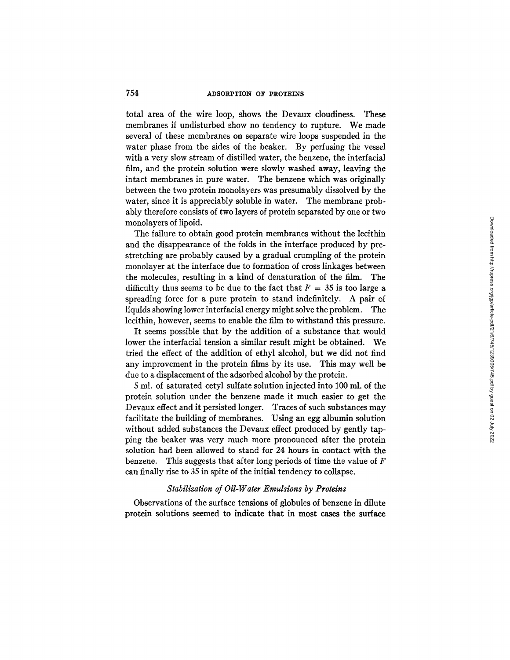## 754 ADSORPTION OF PROTEINS

total area of the wire loop, shows the Devaux cloudiness. These membranes if undisturbed show no tendency to rupture. We made several of these membranes on separate wire loops suspended in the water phase from the sides of the beaker. By perfusing the vessel with a very slow stream of distilled water, the benzene, the interfacial film, and the protein solution were slowly washed away, leaving the intact membranes in pure water. The benzene which was originally between the two protein monolayers was presumably dissolved by the water, since it is appreciably soluble in water. The membrane probably therefore consists of two layers of protein separated by one or two monolayers of lipoid.

The failure to obtain good protein membranes without the lecithin and the disappearance of the folds in the interface produced by prestretching are probably caused by a gradual crumpling of the protein monolayer at the interface due to formation of cross linkages between the molecules, resulting in a kind of denaturation of the film. The difficulty thus seems to be due to the fact that  $F = 35$  is too large a spreading force for a pure protein to stand indefinitely. A pair of liquids showing lower interracial energy might solve the problem. The lecithin, however, seems to enable the film to withstand this pressure.

It seems possible that by the addition of a substance that would lower the interfacial tension a similar result might be obtained. We tried the effect of the addition of ethyl alcohol, but we did not find any improvement in the protein films by its use. This may well be due to a displacement of the adsorbed alcohol by the protein.

5 ml. of saturated cetyl sulfate solution injected into 100 ml. of the protein solution under the benzene made it much easier to get the Devaux effect and it persisted longer. Traces of such substances may facilitate the building of membranes. Using an egg albumin solution without added substances the Devaux effect produced by gently tapping the beaker was very much more pronounced after the protein solution had been allowed to stand for 24 hours in contact with the benzene. This suggests that after long periods of time the value of  $F$ can finally rise to 35 in spite of the initial tendency to collapse.

#### *Stabilization of Oil-Water Emulsions by Proteins*

Observations of the surface tensions of globules of benzene in dilute protein solutions seemed to indicate that in most cases the surface